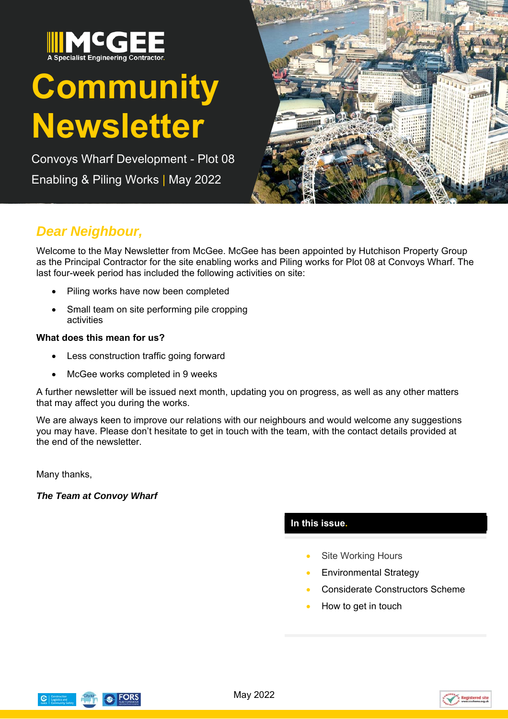

# **Community Newsletter**

Convoys Wharf Development - Plot 08 Enabling & Piling Works | May 2022



## *Dear Neighbour,*

Welcome to the May Newsletter from McGee. McGee has been appointed by Hutchison Property Group as the Principal Contractor for the site enabling works and Piling works for Plot 08 at Convoys Wharf. The last four-week period has included the following activities on site:

- Piling works have now been completed
- Small team on site performing pile cropping activities

#### **What does this mean for us?**

- Less construction traffic going forward
- McGee works completed in 9 weeks

A further newsletter will be issued next month, updating you on progress, as well as any other matters that may affect you during the works.

We are always keen to improve our relations with our neighbours and would welcome any suggestions you may have. Please don't hesitate to get in touch with the team, with the contact details provided at the end of the newsletter.

Many thanks,

*The Team at Convoy Wharf* 

### **In this issue.**

- Site Working Hours
- Environmental Strategy
- Considerate Constructors Scheme
- How to get in touch